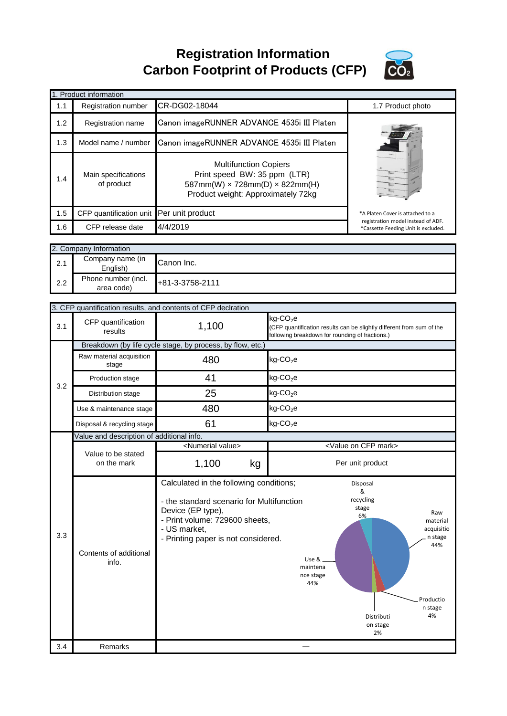**Registration Information Carbon Footprint of Products (CFP)**



|     | 1. Product information                    |                                                                                                                                                |                                                 |                                                                           |
|-----|-------------------------------------------|------------------------------------------------------------------------------------------------------------------------------------------------|-------------------------------------------------|---------------------------------------------------------------------------|
| 1.1 | Registration number                       | CR-DG02-18044                                                                                                                                  |                                                 | 1.7 Product photo                                                         |
| 1.2 | Registration name                         | Canon imageRUNNER ADVANCE 4535i III Platen                                                                                                     |                                                 |                                                                           |
| 1.3 | Model name / number                       | Canon imageRUNNER ADVANCE 4535i III Platen                                                                                                     |                                                 |                                                                           |
| 1.4 | Main specifications<br>of product         | <b>Multifunction Copiers</b><br>Print speed BW: 35 ppm (LTR)<br>587mm(W) x 728mm(D) x 822mm(H)<br>Product weight: Approximately 72kg           |                                                 |                                                                           |
| 1.5 | CFP quantification unit                   | Per unit product                                                                                                                               |                                                 | *A Platen Cover is attached to a                                          |
| 1.6 | CFP release date                          | 4/4/2019                                                                                                                                       |                                                 | registration model instead of ADF.<br>*Cassette Feeding Unit is excluded. |
|     |                                           |                                                                                                                                                |                                                 |                                                                           |
|     | 2. Company Information                    |                                                                                                                                                |                                                 |                                                                           |
| 2.1 | Company name (in<br>English)              | Canon Inc.                                                                                                                                     |                                                 |                                                                           |
| 2.2 | Phone number (incl.<br>area code)         | +81-3-3758-2111                                                                                                                                |                                                 |                                                                           |
|     |                                           | 3. CFP quantification results, and contents of CFP declration                                                                                  |                                                 |                                                                           |
|     |                                           |                                                                                                                                                | $kg$ -CO <sub>2</sub> e                         |                                                                           |
| 3.1 | CFP quantification<br>results             | 1,100                                                                                                                                          | following breakdown for rounding of fractions.) | (CFP quantification results can be slightly different from sum of the     |
|     |                                           | Breakdown (by life cycle stage, by process, by flow, etc.)                                                                                     |                                                 |                                                                           |
| 3.2 | Raw material acquisition<br>stage         | 480                                                                                                                                            | $kg$ -CO <sub>2</sub> e                         |                                                                           |
|     | Production stage                          | 41                                                                                                                                             | $kg$ -CO <sub>2</sub> e                         |                                                                           |
|     | Distribution stage                        | 25                                                                                                                                             | $kg$ -CO <sub>2</sub> e                         |                                                                           |
|     | Use & maintenance stage                   | 480                                                                                                                                            | $kg$ -CO <sub>2</sub> e                         |                                                                           |
|     | Disposal & recycling stage                | 61                                                                                                                                             | $kg$ -CO <sub>2</sub> e                         |                                                                           |
|     | Value and description of additional info. |                                                                                                                                                |                                                 |                                                                           |
|     | Value to be stated                        | <numerial value=""></numerial>                                                                                                                 |                                                 | <value cfp="" mark="" on=""></value>                                      |
| 3.3 | on the mark                               | 1,100<br>kg                                                                                                                                    |                                                 | Per unit product                                                          |
|     |                                           | Calculated in the following conditions;<br>- the standard scenario for Multifunction<br>Device (EP type),                                      |                                                 | Disposal<br>&<br>recycling<br>stage                                       |
|     | Contents of additional<br>info.           | Raw<br>6%<br>- Print volume: 729600 sheets,<br>material<br>- US market,<br>acquisitio<br>n stage<br>- Printing paper is not considered.<br>44% |                                                 |                                                                           |
|     |                                           |                                                                                                                                                | Use &<br>maintena<br>nce stage<br>44%           |                                                                           |
|     |                                           |                                                                                                                                                |                                                 | Productio<br>n stage<br>4%<br>Distributi<br>on stage<br>2%                |
| 3.4 | Remarks                                   |                                                                                                                                                |                                                 |                                                                           |